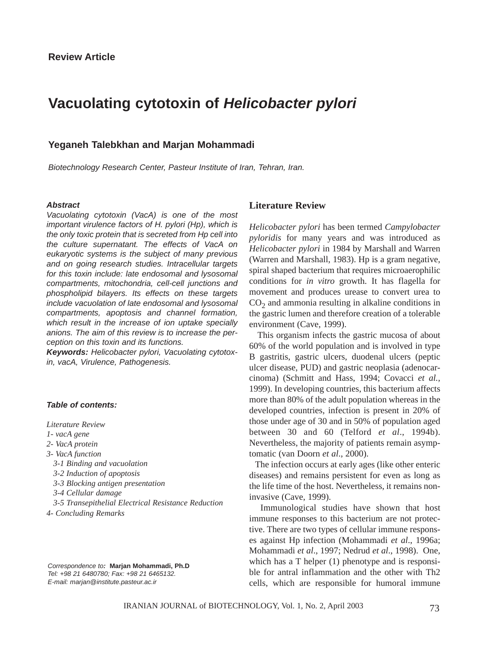# **Vacuolating cytotoxin of** *Helicobacter pylori*

## **Yeganeh Talebkhan and Marjan Mohammadi**

*Biotechnology Research Center, Pasteur Institute of Iran, Tehran, Iran.*

#### *Abstract*

*Vacuolating cytotoxin (VacA) is one of the most important virulence factors of H. pylori (Hp), which is the only toxic protein that is secreted from Hp cell into the culture supernatant. The effects of VacA on eukaryotic systems is the subject of many previous and on going research studies. Intracellular targets for this toxin include: late endosomal and lysosomal compartments, mitochondria, cell-cell junctions and phospholipid bilayers. Its effects on these targets include vacuolation of late endosomal and lysosomal compartments, apoptosis and channel formation, which result in the increase of ion uptake specially anions. The aim of this review is to increase the perception on this toxin and its functions.*

*Keywords: Helicobacter pylori, Vacuolating cytotoxin, vacA, Virulence, Pathogenesis.*

#### *Table of contents:*

*Literature Review*

- *1- vacA gene*
- *2- VacA protein*
- *3- VacA function* 
	- *3-1 Binding and vacuolation*
	- *3-2 Induction of apoptosis*
	- *3-3 Blocking antigen presentation*
	- *3-4 Cellular damage*
	- *3-5 Transepithelial Electrical Resistance Reduction*
- *4- Concluding Remarks*

#### *Correspondence to:* **Marjan Mohammadi, Ph.D** *Tel: +98 21 6480780; Fax: +98 21 6465132. E-mail: marjan@institute.pasteur.ac.ir*

## **Literature Review**

*Helicobacter pylori* has been termed *Campylobacter pyloridis* for many years and was introduced as *Helicobacter pylori* in 1984 by Marshall and Warren (Warren and Marshall, 1983). Hp is a gram negative, spiral shaped bacterium that requires microaerophilic conditions for *in vitro* growth. It has flagella for movement and produces urease to convert urea to  $CO<sub>2</sub>$  and ammonia resulting in alkaline conditions in the gastric lumen and therefore creation of a tolerable environment (Cave, 1999).

This organism infects the gastric mucosa of about 60% of the world population and is involved in type B gastritis, gastric ulcers, duodenal ulcers (peptic ulcer disease, PUD) and gastric neoplasia (adenocarcinoma) (Schmitt and Hass, 1994; Covacci *et al.,* 1999). In developing countries, this bacterium affects more than 80% of the adult population whereas in the developed countries, infection is present in 20% of those under age of 30 and in 50% of population aged between 30 and 60 (Telford *et al*., 1994b). Nevertheless, the majority of patients remain asymptomatic (van Doorn *et al*., 2000).

The infection occurs at early ages (like other enteric diseases) and remains persistent for even as long as the life time of the host. Nevertheless, it remains noninvasive (Cave, 1999).

Immunological studies have shown that host immune responses to this bacterium are not protective. There are two types of cellular immune responses against Hp infection (Mohammadi *et al*., 1996a; Mohammadi *et al*., 1997; Nedrud *et al*., 1998). One, which has a T helper (1) phenotype and is responsible for antral inflammation and the other with Th2 cells, which are responsible for humoral immune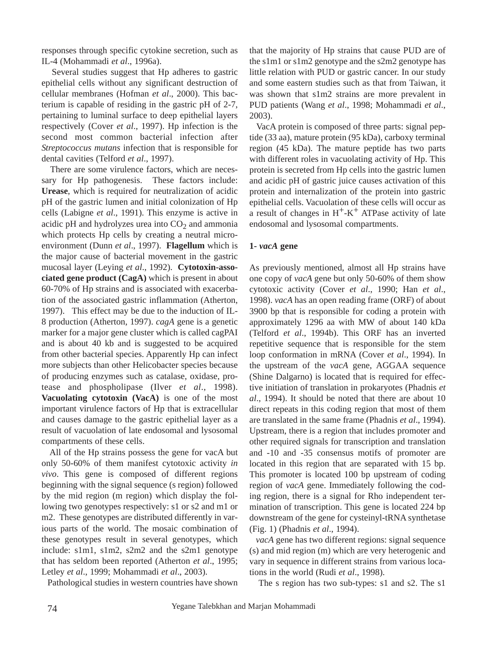responses through specific cytokine secretion, such as IL-4 (Mohammadi *et al*., 1996a).

Several studies suggest that Hp adheres to gastric epithelial cells without any significant destruction of cellular membranes (Hofman *et al*., 2000). This bacterium is capable of residing in the gastric pH of 2-7, pertaining to luminal surface to deep epithelial layers respectively (Cover *et al*., 1997). Hp infection is the second most common bacterial infection after *Streptococcus mutans* infection that is responsible for dental cavities (Telford *et al*., 1997).

There are some virulence factors, which are necessary for Hp pathogenesis. These factors include: **Urease**, which is required for neutralization of acidic pH of the gastric lumen and initial colonization of Hp cells (Labigne *et al*., 1991). This enzyme is active in acidic pH and hydrolyzes urea into  $CO<sub>2</sub>$  and ammonia which protects Hp cells by creating a neutral microenvironment (Dunn *et al*., 1997). **Flagellum** which is the major cause of bacterial movement in the gastric mucosal layer (Leying *et al*., 1992). **Cytotoxin-associated gene product (CagA)** which is present in about 60-70% of Hp strains and is associated with exacerbation of the associated gastric inflammation (Atherton, 1997). This effect may be due to the induction of IL-8 production (Atherton, 1997). *cagA* gene is a genetic marker for a major gene cluster which is called cagPAI and is about 40 kb and is suggested to be acquired from other bacterial species. Apparently Hp can infect more subjects than other Helicobacter species because of producing enzymes such as catalase, oxidase, protease and phospholipase (Ilver *et al*., 1998). **Vacuolating cytotoxin (VacA)** is one of the most important virulence factors of Hp that is extracellular and causes damage to the gastric epithelial layer as a result of vacuolation of late endosomal and lysosomal compartments of these cells.

All of the Hp strains possess the gene for vacA but only 50-60% of them manifest cytotoxic activity *in vivo*. This gene is composed of different regions beginning with the signal sequence (s region) followed by the mid region (m region) which display the following two genotypes respectively: s1 or s2 and m1 or m2. These genotypes are distributed differently in various parts of the world. The mosaic combination of these genotypes result in several genotypes, which include: s1m1, s1m2, s2m2 and the s2m1 genotype that has seldom been reported (Atherton *et al*., 1995; Letley *et al*., 1999; Mohammadi *et al*., 2003).

Pathological studies in western countries have shown

that the majority of Hp strains that cause PUD are of the s1m1 or s1m2 genotype and the s2m2 genotype has little relation with PUD or gastric cancer. In our study and some eastern studies such as that from Taiwan, it was shown that s1m2 strains are more prevalent in PUD patients (Wang *et al*., 1998; Mohammadi *et al*., 2003).

VacA protein is composed of three parts: signal peptide (33 aa), mature protein (95 kDa), carboxy terminal region (45 kDa). The mature peptide has two parts with different roles in vacuolating activity of Hp. This protein is secreted from Hp cells into the gastric lumen and acidic pH of gastric juice causes activation of this protein and internalization of the protein into gastric epithelial cells. Vacuolation of these cells will occur as a result of changes in  $H^+$ -K<sup>+</sup> ATPase activity of late endosomal and lysosomal compartments.

### **1-** *vacA* **gene**

As previously mentioned, almost all Hp strains have one copy of *vacA* gene but only 50-60% of them show cytotoxic activity (Cover *et al*., 1990; Han *et al*., 1998). *vacA* has an open reading frame (ORF) of about 3900 bp that is responsible for coding a protein with approximately 1296 aa with MW of about 140 kDa (Telford *et al*., 1994b). This ORF has an inverted repetitive sequence that is responsible for the stem loop conformation in mRNA (Cover *et al*., 1994). In the upstream of the *vacA* gene, AGGAA sequence (Shine Dalgarno) is located that is required for effective initiation of translation in prokaryotes (Phadnis *et al*., 1994). It should be noted that there are about 10 direct repeats in this coding region that most of them are translated in the same frame (Phadnis *et al*., 1994). Upstream, there is a region that includes promoter and other required signals for transcription and translation and -10 and -35 consensus motifs of promoter are located in this region that are separated with 15 bp. This promoter is located 100 bp upstream of coding region of *vacA* gene. Immediately following the coding region, there is a signal for Rho independent termination of transcription. This gene is located 224 bp downstream of the gene for cysteinyl-tRNA synthetase (Fig. 1) (Phadnis *et al*., 1994).

*vacA* gene has two different regions: signal sequence (s) and mid region (m) which are very heterogenic and vary in sequence in different strains from various locations in the world (Rudi *et al*., 1998).

The s region has two sub-types: s1 and s2. The s1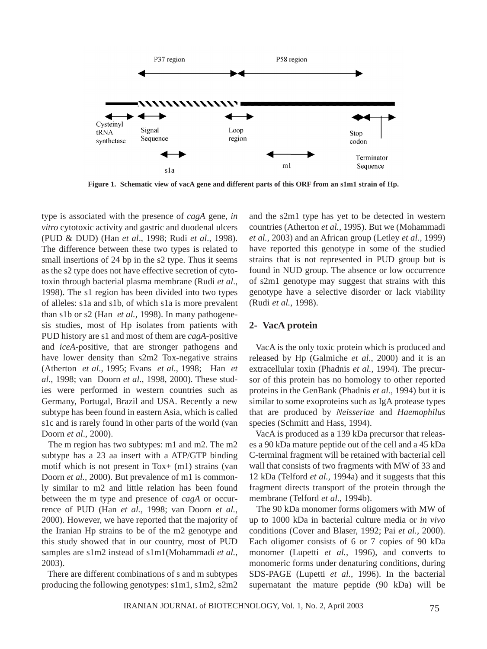

**Figure 1. Schematic view of vacA gene and different parts of this ORF from an s1m1 strain of Hp.**

type is associated with the presence of *cagA* gene, *in vitro* cytotoxic activity and gastric and duodenal ulcers (PUD & DUD) (Han *et al*., 1998; Rudi *et al*., 1998). The difference between these two types is related to small insertions of 24 bp in the s2 type. Thus it seems as the s2 type does not have effective secretion of cytotoxin through bacterial plasma membrane (Rudi *et al*., 1998). The s1 region has been divided into two types of alleles: s1a and s1b, of which s1a is more prevalent than s1b or s2 (Han *et al.,* 1998). In many pathogenesis studies, most of Hp isolates from patients with PUD history are s1 and most of them are *cagA*-positive and *iceA*-positive, that are stronger pathogens and have lower density than s2m2 Tox-negative strains (Atherton *et al*., 1995; Evans *et al*., 1998; Han *et al*., 1998; van Doorn *et al*., 1998, 2000). These studies were performed in western countries such as Germany, Portugal, Brazil and USA. Recently a new subtype has been found in eastern Asia, which is called s1c and is rarely found in other parts of the world (van Doorn *et al*., 2000).

The m region has two subtypes: m1 and m2. The m2 subtype has a 23 aa insert with a ATP/GTP binding motif which is not present in Tox+ (m1) strains (van Doorn *et al.,* 2000). But prevalence of m1 is commonly similar to m2 and little relation has been found between the m type and presence of *cagA* or occurrence of PUD (Han *et al.,* 1998; van Doorn *et al.,* 2000). However, we have reported that the majority of the Iranian Hp strains to be of the m2 genotype and this study showed that in our country, most of PUD samples are s1m2 instead of s1m1(Mohammadi *et al.,* 2003).

There are different combinations of s and m subtypes producing the following genotypes: s1m1, s1m2, s2m2

and the s2m1 type has yet to be detected in western countries (Atherton *et al.,* 1995). But we (Mohammadi *et al.,* 2003) and an African group (Letley *et al.,* 1999) have reported this genotype in some of the studied strains that is not represented in PUD group but is found in NUD group. The absence or low occurrence of s2m1 genotype may suggest that strains with this genotype have a selective disorder or lack viability (Rudi *et al.,* 1998).

#### **2- VacA protein**

VacA is the only toxic protein which is produced and released by Hp (Galmiche *et al.,* 2000) and it is an extracellular toxin (Phadnis *et al.,* 1994). The precursor of this protein has no homology to other reported proteins in the GenBank (Phadnis *et al.,* 1994) but it is similar to some exoproteins such as IgA protease types that are produced by *Neisseriae* and *Haemophilus* species (Schmitt and Hass, 1994).

VacA is produced as a 139 kDa precursor that releases a 90 kDa mature peptide out of the cell and a 45 kDa C-terminal fragment will be retained with bacterial cell wall that consists of two fragments with MW of 33 and 12 kDa (Telford *et al.,* 1994a) and it suggests that this fragment directs transport of the protein through the membrane (Telford *et al.,* 1994b).

The 90 kDa monomer forms oligomers with MW of up to 1000 kDa in bacterial culture media or *in vivo* conditions (Cover and Blaser, 1992; Pai *et al.,* 2000). Each oligomer consists of 6 or 7 copies of 90 kDa monomer (Lupetti *et al.,* 1996), and converts to monomeric forms under denaturing conditions, during SDS-PAGE (Lupetti *et al.,* 1996). In the bacterial supernatant the mature peptide (90 kDa) will be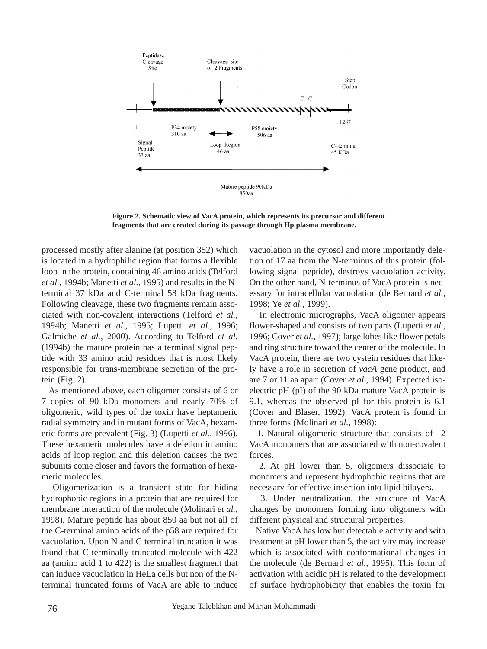

**Figure 2. Schematic view of VacA protein, which represents its precursor and different fragments that are created during its passage through Hp plasma membrane.**

processed mostly after alanine (at position 352) which is located in a hydrophilic region that forms a flexible loop in the protein, containing 46 amino acids (Telford *et al.,* 1994b; Manetti *et al.,* 1995) and results in the Nterminal 37 kDa and C-terminal 58 kDa fragments. Following cleavage, these two fragments remain associated with non-covalent interactions (Telford *et al.,* 1994b; Manetti *et al.,* 1995; Lupetti *et al.,* 1996; Galmiche *et al.,* 2000). According to Telford *et al.* (1994b) the mature protein has a terminal signal peptide with 33 amino acid residues that is most likely responsible for trans-membrane secretion of the protein (Fig. 2).

As mentioned above, each oligomer consists of 6 or 7 copies of 90 kDa monomers and nearly 70% of oligomeric, wild types of the toxin have heptameric radial symmetry and in mutant forms of VacA, hexameric forms are prevalent (Fig. 3) (Lupetti *et al.,* 1996). These hexameric molecules have a deletion in amino acids of loop region and this deletion causes the two subunits come closer and favors the formation of hexameric molecules.

Oligomerization is a transient state for hiding hydrophobic regions in a protein that are required for membrane interaction of the molecule (Molinari *et al.,* 1998). Mature peptide has about 850 aa but not all of the C-terminal amino acids of the p58 are required for vacuolation. Upon N and C terminal truncation it was found that C-terminally truncated molecule with 422 aa (amino acid 1 to 422) is the smallest fragment that can induce vacuolation in HeLa cells but non of the Nterminal truncated forms of VacA are able to induce vacuolation in the cytosol and more importantly deletion of 17 aa from the N-terminus of this protein (following signal peptide), destroys vacuolation activity. On the other hand, N-terminus of VacA protein is necessary for intracellular vacuolation (de Bernard *et al.,* 1998; Ye *et al.,* 1999).

In electronic micrographs, VacA oligomer appears flower-shaped and consists of two parts (Lupetti *et al.,* 1996; Cover *et al.,* 1997); large lobes like flower petals and ring structure toward the center of the molecule. In VacA protein, there are two cystein residues that likely have a role in secretion of *vacA* gene product, and are 7 or 11 aa apart (Cover *et al.,* 1994). Expected isoelectric pH (pI) of the 90 kDa mature VacA protein is 9.1, whereas the observed pI for this protein is 6.1 (Cover and Blaser, 1992). VacA protein is found in three forms (Molinari *et al.,* 1998):

1. Natural oligomeric structure that consists of 12 VacA monomers that are associated with non-covalent forces.

2. At pH lower than 5, oligomers dissociate to monomers and represent hydrophobic regions that are necessary for effective insertion into lipid bilayers.

3. Under neutralization, the structure of VacA changes by monomers forming into oligomers with different physical and structural properties.

Native VacA has low but detectable activity and with treatment at pH lower than 5, the activity may increase which is associated with conformational changes in the molecule (de Bernard *et al.,* 1995). This form of activation with acidic pH is related to the development of surface hydrophobicity that enables the toxin for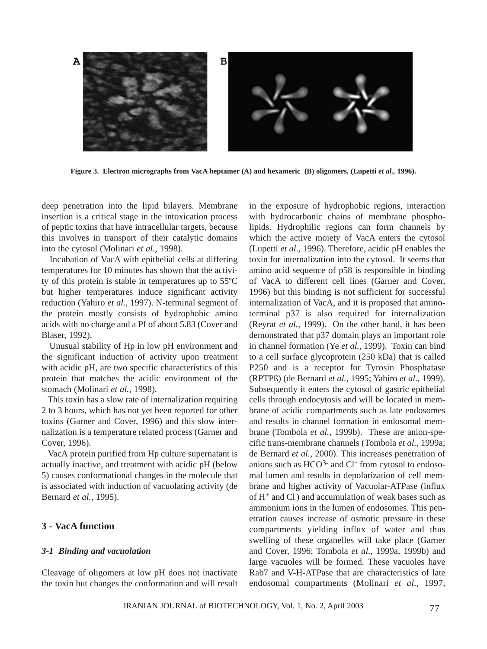

**Figure 3. Electron micrographs from VacA heptamer (A) and hexameric (B) oligomers, (Lupetti** *et al.***, 1996).** 

deep penetration into the lipid bilayers. Membrane insertion is a critical stage in the intoxication process of peptic toxins that have intracellular targets, because this involves in transport of their catalytic domains into the cytosol (Molinari *et al.,* 1998).

Incubation of VacA with epithelial cells at differing temperatures for 10 minutes has shown that the activity of this protein is stable in temperatures up to 55ºC but higher temperatures induce significant activity reduction (Yahiro *et al.,* 1997). N-terminal segment of the protein mostly consists of hydrophobic amino acids with no charge and a PI of about 5.83 (Cover and Blaser, 1992).

Unusual stability of Hp in low pH environment and the significant induction of activity upon treatment with acidic pH, are two specific characteristics of this protein that matches the acidic environment of the stomach (Molinari *et al.,* 1998).

This toxin has a slow rate of internalization requiring 2 to 3 hours, which has not yet been reported for other toxins (Garner and Cover, 1996) and this slow internalization is a temperature related process (Garner and Cover, 1996).

VacA protein purified from Hp culture supernatant is actually inactive, and treatment with acidic pH (below 5) causes conformational changes in the molecule that is associated with induction of vacuolating activity (de Bernard *et al.,* 1995).

## **3 - VacA function**

#### *3-1 Binding and vacuolation*

Cleavage of oligomers at low pH does not inactivate the toxin but changes the conformation and will result in the exposure of hydrophobic regions, interaction with hydrocarbonic chains of membrane phospholipids. Hydrophilic regions can form channels by which the active moiety of VacA enters the cytosol (Lupetti *et al.,* 1996). Therefore, acidic pH enables the toxin for internalization into the cytosol. It seems that amino acid sequence of p58 is responsible in binding of VacA to different cell lines (Garner and Cover, 1996) but this binding is not sufficient for successful internalization of VacA, and it is proposed that aminoterminal p37 is also required for internalization (Reyrat *et al.,* 1999). On the other hand, it has been demonstrated that p37 domain plays an important role in channel formation (Ye *et al.,* 1999). Toxin can bind to a cell surface glycoprotein (250 kDa) that is called P250 and is a receptor for Tyrosin Phosphatase (RPTPß) (de Bernard *et al.,* 1995; Yahiro *et al.,* 1999). Subsequently it enters the cytosol of gastric epithelial cells through endocytosis and will be located in membrane of acidic compartments such as late endosomes and results in channel formation in endosomal membrane (Tombola *et al.,* 1999b). These are anion-specific trans-membrane channels (Tombola *et al.,* 1999a; de Bernard *et al.,* 2000). This increases penetration of anions such as  $HCO<sup>3-</sup>$  and  $Cl<sup>-</sup>$  from cytosol to endosomal lumen and results in depolarization of cell membrane and higher activity of Vacuolar-ATPase (influx of H<sup>+</sup> and Cl) and accumulation of weak bases such as ammonium ions in the lumen of endosomes. This penetration causes increase of osmotic pressure in these compartments yielding influx of water and thus swelling of these organelles will take place (Garner and Cover, 1996; Tombola *et al.,* 1999a, 1999b) and large vacuoles will be formed. These vacuoles have Rab7 and V-H-ATPase that are characteristics of late endosomal compartments (Molinari *et al.,* 1997,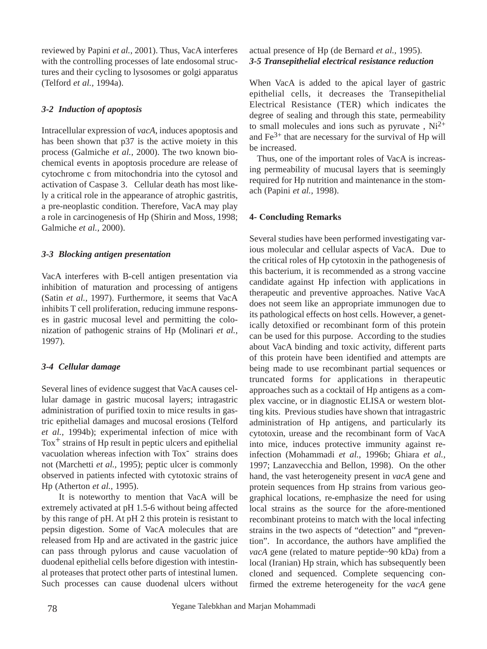reviewed by Papini *et al.,* 2001). Thus, VacA interferes with the controlling processes of late endosomal structures and their cycling to lysosomes or golgi apparatus (Telford *et al.,* 1994a).

## *3-2 Induction of apoptosis*

Intracellular expression of *vacA*, induces apoptosis and has been shown that p37 is the active moiety in this process (Galmiche *et al.,* 2000). The two known biochemical events in apoptosis procedure are release of cytochrome c from mitochondria into the cytosol and activation of Caspase 3. Cellular death has most likely a critical role in the appearance of atrophic gastritis, a pre-neoplastic condition. Therefore, VacA may play a role in carcinogenesis of Hp (Shirin and Moss, 1998; Galmiche *et al.,* 2000).

# *3-3 Blocking antigen presentation*

VacA interferes with B-cell antigen presentation via inhibition of maturation and processing of antigens (Satin *et al.,* 1997). Furthermore, it seems that VacA inhibits T cell proliferation, reducing immune responses in gastric mucosal level and permitting the colonization of pathogenic strains of Hp (Molinari *et al.,* 1997).

# *3-4 Cellular damage*

Several lines of evidence suggest that VacA causes cellular damage in gastric mucosal layers; intragastric administration of purified toxin to mice results in gastric epithelial damages and mucosal erosions (Telford *et al.,* 1994b); experimental infection of mice with  $Tox<sup>+</sup>$  strains of Hp result in peptic ulcers and epithelial vacuolation whereas infection with Tox<sup>-</sup> strains does not (Marchetti *et al.,* 1995); peptic ulcer is commonly observed in patients infected with cytotoxic strains of Hp (Atherton *et al.,* 1995).

It is noteworthy to mention that VacA will be extremely activated at pH 1.5-6 without being affected by this range of pH. At pH 2 this protein is resistant to pepsin digestion. Some of VacA molecules that are released from Hp and are activated in the gastric juice can pass through pylorus and cause vacuolation of duodenal epithelial cells before digestion with intestinal proteases that protect other parts of intestinal lumen. Such processes can cause duodenal ulcers without

# actual presence of Hp (de Bernard *et al.,* 1995). *3-5 Transepithelial electrical resistance reduction*

When VacA is added to the apical layer of gastric epithelial cells, it decreases the Transepithelial Electrical Resistance (TER) which indicates the degree of sealing and through this state, permeability to small molecules and ions such as pyruvate,  $Ni<sup>2+</sup>$ and  $Fe<sup>3+</sup>$  that are necessary for the survival of Hp will be increased.

Thus, one of the important roles of VacA is increasing permeability of mucusal layers that is seemingly required for Hp nutrition and maintenance in the stomach (Papini *et al.,* 1998).

# **4- Concluding Remarks**

Several studies have been performed investigating various molecular and cellular aspects of VacA. Due to the critical roles of Hp cytotoxin in the pathogenesis of this bacterium, it is recommended as a strong vaccine candidate against Hp infection with applications in therapeutic and preventive approaches. Native VacA does not seem like an appropriate immunogen due to its pathological effects on host cells. However, a genetically detoxified or recombinant form of this protein can be used for this purpose. According to the studies about VacA binding and toxic activity, different parts of this protein have been identified and attempts are being made to use recombinant partial sequences or truncated forms for applications in therapeutic approaches such as a cocktail of Hp antigens as a complex vaccine, or in diagnostic ELISA or western blotting kits. Previous studies have shown that intragastric administration of Hp antigens, and particularly its cytotoxin, urease and the recombinant form of VacA into mice, induces protective immunity against reinfection (Mohammadi *et al.,* 1996b; Ghiara *et al.,* 1997; Lanzavecchia and Bellon, 1998). On the other hand, the vast heterogeneity present in *vacA* gene and protein sequences from Hp strains from various geographical locations, re-emphasize the need for using local strains as the source for the afore-mentioned recombinant proteins to match with the local infecting strains in the two aspects of "detection" and "prevention". In accordance, the authors have amplified the *vacA* gene (related to mature peptide~90 kDa) from a local (Iranian) Hp strain, which has subsequently been cloned and sequenced. Complete sequencing confirmed the extreme heterogeneity for the *vacA* gene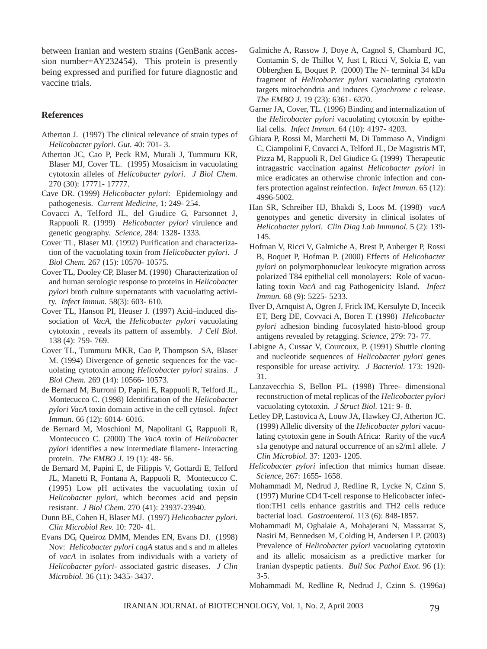between Iranian and western strains (GenBank accession number=AY232454). This protein is presently being expressed and purified for future diagnostic and vaccine trials.

#### **References**

- Atherton J. (1997) The clinical relevance of strain types of *Helicobacter pylori*. *Gut.* 40: 701- 3.
- Atherton JC, Cao P, Peck RM, Murali J, Tummuru KR, Blaser MJ, Cover TL. (1995) Mosaicism in vacuolating cytotoxin alleles of *Helicobacter pylori*. *J Biol Chem.* 270 (30): 17771- 17777.
- Cave DR. (1999) *Helicobacter pylori*: Epidemiology and pathogenesis. *Current Medicine,* 1: 249- 254.
- Covacci A, Telford JL, del Giudice G, Parsonnet J, Rappuoli R. (1999) *Helicobacter pylori* virulence and genetic geography. *Science,* 284: 1328- 1333.
- Cover TL, Blaser MJ. (1992) Purification and characterization of the vacuolating toxin from *Helicobacter pylori*. *J Biol Chem.* 267 (15): 10570- 10575.
- Cover TL, Dooley CP, Blaser M. (1990) Characterization of and human serologic response to proteins in *Helicobacter pylori* broth culture supernatants with vacuolating activity. *Infect Immun.* 58(3): 603- 610.
- Cover TL, Hanson PI, Heuser J. (1997) Acid–induced dissociation of *VacA*, the *Helicobacter pylori* vacuolating cytotoxin , reveals its pattern of assembly. *J Cell Biol.* 138 (4): 759- 769.
- Cover TL, Tummuru MKR, Cao P, Thompson SA, Blaser M. (1994) Divergence of genetic sequences for the vacuolating cytotoxin among *Helicobacter pylori* strains. *J Biol Chem.* 269 (14): 10566- 10573.
- de Bernard M, Burroni D, Papini E, Rappuoli R, Telford JL, Montecucco C. (1998) Identification of the *Helicobacter pylori VacA* toxin domain active in the cell cytosol. *Infect Immun.* 66 (12): 6014- 6016.
- de Bernard M, Moschioni M, Napolitani G, Rappuoli R, Montecucco C. (2000) The *VacA* toxin of *Helicobacter pylori* identifies a new intermediate filament- interacting protein. *The EMBO J.* 19 (1): 48- 56.
- de Bernard M, Papini E, de Filippis V, Gottardi E, Telford JL, Manetti R, Fontana A, Rappuoli R, Montecucco C. (1995) Low pH activates the vacuolating toxin of *Helicobacter pylori*, which becomes acid and pepsin resistant. *J Biol Chem.* 270 (41): 23937-23940.
- Dunn BE, Cohen H, Blaser MJ. (1997) *Helicobacter pylori*. *Clin Microbiol Rev.* 10: 720- 41.
- Evans DG, Queiroz DMM, Mendes EN, Evans DJ. (1998) Nov: *Helicobacter pylori cagA* status and s and m alleles of *vacA* in isolates from individuals with a variety of *Helicobacter pylori*- associated gastric diseases. *J Clin Microbiol.* 36 (11): 3435- 3437.
- Galmiche A, Rassow J, Doye A, Cagnol S, Chambard JC, Contamin S, de Thillot V, Just I, Ricci V, Solcia E, van Obberghen E, Boquet P. (2000) The N- terminal 34 kDa fragment of *Helicobacter pylori* vacuolating cytotoxin targets mitochondria and induces *Cytochrome c* release. *The EMBO J.* 19 (23): 6361- 6370.
- Garner JA, Cover, TL. (1996) Binding and internalization of the *Helicobacter pylori* vacuolating cytotoxin by epithelial cells. *Infect Immun.* 64 (10): 4197- 4203.
- Ghiara P, Rossi M, Marchetti M, Di Tommaso A, Vindigni C, Ciampolini F, Covacci A, Telford JL, De Magistris MT, Pizza M, Rappuoli R, Del Giudice G. (1999) Therapeutic intragastric vaccination against *Helicobacter pylori* in mice eradicates an otherwise chronic infection and confers protection against reinfection. *Infect Immun.* 65 (12): 4996-5002.
- Han SR, Schreiber HJ, Bhakdi S, Loos M. (1998) *vacA* genotypes and genetic diversity in clinical isolates of *Helicobacter pylori*. *Clin Diag Lab Immunol.* 5 (2): 139- 145.
- Hofman V, Ricci V, Galmiche A, Brest P, Auberger P, Rossi B, Boquet P, Hofman P. (2000) Effects of *Helicobacter pylori* on polymorphonuclear leukocyte migration across polarized T84 epithelial cell monolayers: Role of vacuolating toxin *VacA* and cag Pathogenicity Island. *Infect Immun.* 68 (9): 5225- 5233.
- Ilver D, Arnquist A, Ogren J, Frick IM, Kersulyte D, Incecik ET, Berg DE, Covvaci A, Boren T. (1998) *Helicobacter pylori* adhesion binding fucosylated histo-blood group antigens revealed by retagging. *Science,* 279: 73- 77.
- Labigne A, Cussac V, Courcoux, P. (1991) Shuttle cloning and nucleotide sequences of *Helicobacter pylori* genes responsible for urease activity. *J Bacteriol.* 173: 1920- 31.
- Lanzavecchia S, Bellon PL. (1998) Three- dimensional reconstruction of metal replicas of the *Helicobacter pylori* vacuolating cytotoxin. *J Struct Biol.* 121: 9- 8.
- Letley DP, Lastovica A, Louw JA, Hawkey CJ, Atherton JC. (1999) Allelic diversity of the *Helicobacter pylori* vacuolating cytotoxin gene in South Africa: Rarity of the *vacA* s1a genotype and natural occurrence of an s2/m1 allele. *J Clin Microbiol.* 37: 1203- 1205.
- *Helicobacter pylori* infection that mimics human diseae. *Science,* 267: 1655- 1658.
- Mohammadi M, Nedrud J, Redline R, Lycke N, Czinn S. (1997) Murine CD4 T-cell response to Helicobacter infection:TH1 cells enhance gastritis and TH2 cells reduce bacterial load. *Gastroenterol.* 113 (6): 848-1857.
- Mohammadi M, Oghalaie A, Mohajerani N, Massarrat S, Nasiri M, Bennedsen M, Colding H, Andersen LP. (2003) Prevalence of *Helicobacter pylori* vacuolating cytotoxin and its allelic mosaicism as a predictive marker for Iranian dyspeptic patients. *Bull Soc Pathol Exot.* 96 (1): 3-5.
- Mohammadi M, Redline R, Nedrud J, Czinn S. (1996a)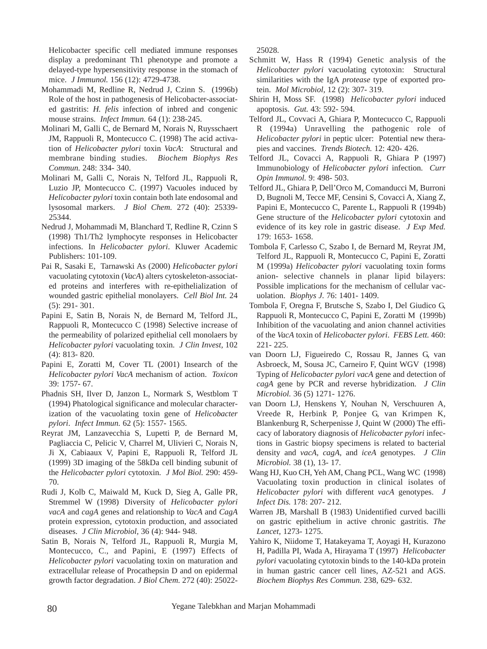Helicobacter specific cell mediated immune responses display a predominant Th1 phenotype and promote a delayed-type hypersensitivity response in the stomach of mice. *J Immunol.* 156 (12): 4729-4738.

- Mohammadi M, Redline R, Nedrud J, Czinn S. (1996b) Role of the host in pathogenesis of Helicobacter-associated gastritis: *H. felis* infection of inbred and congenic mouse strains. *Infect Immun.* 64 (1): 238-245.
- Molinari M, Galli C, de Bernard M, Norais N, Ruysschaert JM, Rappuoli R, Montecucco C. (1998) The acid activation of *Helicobacter pylori* toxin *VacA*: Structural and membrane binding studies. *Biochem Biophys Res Commun.* 248: 334- 340.
- Molinari M, Galli C, Norais N, Telford JL, Rappuoli R, Luzio JP, Montecucco C. (1997) Vacuoles induced by *Helicobacter pylori* toxin contain both late endosomal and lysosomal markers. *J Biol Chem.* 272 (40): 25339- 25344.
- Nedrud J, Mohammadi M, Blanchard T, Redline R, Czinn S (1998) Th1/Th2 lymphocyte responses in Helicobacter infections. In *Helicobacter pylori*. Kluwer Academic Publishers: 101-109.
- Pai R, Sasaki E, Tarnawski As (2000) *Helicobacter pylori* vacuolating cytotoxin (*VacA*) alters cytoskeleton-associated proteins and interferes with re-epithelialization of wounded gastric epithelial monolayers. *Cell Biol Int.* 24 (5): 291- 301.
- Papini E, Satin B, Norais N, de Bernard M, Telford JL, Rappuoli R, Montecucco C (1998) Selective increase of the permeability of polarized epithelial cell monolaers by *Helicobacter pylori* vacuolating toxin. *J Clin Invest,* 102 (4): 813- 820.
- Papini E, Zoratti M, Cover TL (2001) Insearch of the *Helicobacter pylori VacA* mechanism of action. *Toxicon* 39: 1757- 67.
- Phadnis SH, Ilver D, Janzon L, Normark S, Westblom T (1994) Phatological significance and molecular characterization of the vacuolating toxin gene of *Helicobacter pylori*. *Infect Immun.* 62 (5): 1557- 1565.
- Reyrat JM, Lanzavecchia S, Lupetti P, de Bernard M, Pagliaccia C, Pelicic V, Charrel M, Ulivieri C, Norais N, Ji X, Cabiaaux V, Papini E, Rappuoli R, Telford JL (1999) 3D imaging of the 58kDa cell binding subunit of the *Helicobacter pylori* cytotoxin. *J Mol Biol.* 290: 459- 70.
- Rudi J, Kolb C, Maiwald M, Kuck D, Sieg A, Galle PR, Stremmel W (1998) Diversity of *Helicobacter pylori vacA* and *cagA* genes and relationship to *VacA* and *CagA* protein expression, cytotoxin production, and associated diseases. *J Clin Microbiol,* 36 (4): 944- 948.
- Satin B, Norais N, Telford JL, Rappuoli R, Murgia M, Montecucco, C., and Papini, E (1997) Effects of *Helicobacter pylori* vacuolating toxin on maturation and extracellular release of Procathepsin D and on epidermal growth factor degradation. *J Biol Chem.* 272 (40): 25022-

25028.

- Schmitt W, Hass R (1994) Genetic analysis of the *Helicobacter pylori* vacuolating cytotoxin: Structural similarities with the IgA *protease* type of exported protein. *Mol Microbiol,* 12 (2): 307- 319.
- Shirin H, Moss SF. (1998) *Helicobacter pylori* induced apoptosis. *Gut.* 43: 592- 594.
- Telford JL, Covvaci A, Ghiara P, Montecucco C, Rappuoli R (1994a) Unravelling the pathogenic role of *Helicobacter pylori* in peptic ulcer: Potential new therapies and vaccines. *Trends Biotech.* 12: 420- 426.
- Telford JL, Covacci A, Rappuoli R, Ghiara P (1997) Immunobiology of *Helicobacter pylori* infection. *Curr Opin Immunol.* 9: 498- 503.
- Telford JL, Ghiara P, Dell'Orco M, Comanducci M, Burroni D, Bugnoli M, Tecce MF, Censini S, Covacci A, Xiang Z, Papini E, Montecucco C, Parente L, Rappuoli R (1994b) Gene structure of the *Helicobacter pylori* cytotoxin and evidence of its key role in gastric disease. *J Exp Med.* 179: 1653- 1658.
- Tombola F, Carlesso C, Szabo I, de Bernard M, Reyrat JM, Telford JL, Rappuoli R, Montecucco C, Papini E, Zoratti M (1999a) *Helicobacter pylori* vacuolating toxin forms anion- selective channels in planar lipid bilayers: Possible implications for the mechanism of cellular vacuolation. *Biophys J.* 76: 1401- 1409.
- Tombola F, Oregna F, Brutsche S, Szabo I, Del Giudico G, Rappuoli R, Montecucco C, Papini E, Zoratti M (1999b) Inhibition of the vacuolating and anion channel activities of the *VacA* toxin of *Helicobacter pylori*. *FEBS Lett.* 460: 221- 225.
- van Doorn LJ, Figueiredo C, Rossau R, Jannes G, van Asbroeck, M, Sousa JC, Carneiro F, Quint WGV (1998) Typing of *Helicobacter pylori vacA* gene and detection of *cagA* gene by PCR and reverse hybridization. *J Clin Microbiol.* 36 (5) 1271- 1276.
- van Doorn LJ, Henskens Y, Nouhan N, Verschuuren A, Vreede R, Herbink P, Ponjee G, van Krimpen K, Blankenburg R, Scherpenisse J, Quint W (2000) The efficacy of laboratory diagnosis of *Helicobacter pylori* infections in Gastric biopsy specimens is related to bacterial density and *vacA*, *cagA*, and *iceA* genotypes. *J Clin Microbiol.* 38 (1), 13- 17.
- Wang HJ, Kuo CH, Yeh AM, Chang PCL, Wang WC (1998) Vacuolating toxin production in clinical isolates of *Helicobacter pylori* with different *vacA* genotypes. *J Infect Dis.* 178: 207- 212.
- Warren JB, Marshall B (1983) Unidentified curved bacilli on gastric epithelium in active chronic gastritis. *The Lancet,* 1273- 1275.
- Yahiro K, Niidome T, Hatakeyama T, Aoyagi H, Kurazono H, Padilla PI, Wada A, Hirayama T (1997) *Helicobacter pylori* vacuolating cytotoxin binds to the 140-kDa protein in human gastric cancer cell lines, AZ-521 and AGS. *Biochem Biophys Res Commun.* 238, 629- 632.